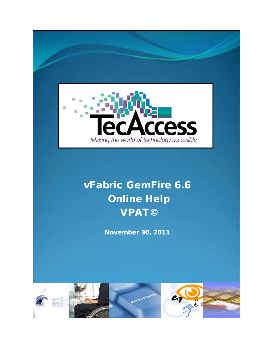

# vFabric GemFire 6.6 Online Help VPAT©

November 30, 2011

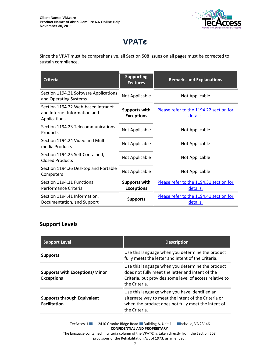

## **VPAT©**

Since the VPAT must be comprehensive, all Section 508 issues on all pages must be corrected to sustain compliance.

| <b>Criteria</b>                                                                    | <b>Supporting</b><br><b>Features</b>      | <b>Remarks and Explanations</b>                     |
|------------------------------------------------------------------------------------|-------------------------------------------|-----------------------------------------------------|
| Section 1194.21 Software Applications<br>and Operating Systems                     | Not Applicable                            | Not Applicable                                      |
| Section 1194.22 Web-based Intranet<br>and Internet Information and<br>Applications | <b>Supports with</b><br><b>Exceptions</b> | Please refer to the 1194.22 section for<br>details. |
| Section 1194.23 Telecommunications<br>Products                                     | Not Applicable                            | Not Applicable                                      |
| Section 1194.24 Video and Multi-<br>media Products                                 | Not Applicable                            | Not Applicable                                      |
| Section 1194.25 Self-Contained,<br><b>Closed Products</b>                          | Not Applicable                            | Not Applicable                                      |
| Section 1194.26 Desktop and Portable<br>Computers                                  | Not Applicable                            | Not Applicable                                      |
| Section 1194.31 Functional<br>Performance Criteria                                 | <b>Supports with</b><br><b>Exceptions</b> | Please refer to the 1194.31 section for<br>details. |
| Section 1194.41 Information,<br>Documentation, and Support                         | <b>Supports</b>                           | Please refer to the 1194.41 section for<br>details. |

#### **Support Levels**

| <b>Support Level</b>                                       | <b>Description</b>                                                                                                                                                               |
|------------------------------------------------------------|----------------------------------------------------------------------------------------------------------------------------------------------------------------------------------|
| <b>Supports</b>                                            | Use this language when you determine the product<br>fully meets the letter and intent of the Criteria.                                                                           |
| <b>Supports with Exceptions/Minor</b><br><b>Exceptions</b> | Use this language when you determine the product<br>does not fully meet the letter and intent of the<br>Criteria, but provides some level of access relative to<br>the Criteria. |
| <b>Supports through Equivalent</b><br><b>Facilitation</b>  | Use this language when you have identified an<br>alternate way to meet the intent of the Criteria or<br>when the product does not fully meet the intent of<br>the Criteria.      |

TecAccess LLC 2410 Granite Ridge Road Building A, Unit 1 Cockville, VA 23146 **CONFIDENTIAL AND PROPRIETARY**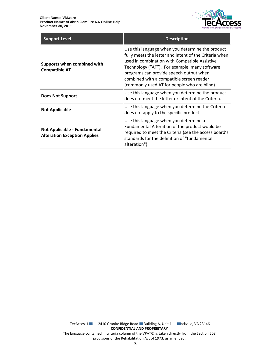

| <b>Support Level</b>                                                | <b>Description</b>                                                                                                                                                                                                                                                                                                                                  |
|---------------------------------------------------------------------|-----------------------------------------------------------------------------------------------------------------------------------------------------------------------------------------------------------------------------------------------------------------------------------------------------------------------------------------------------|
| Supports when combined with<br><b>Compatible AT</b>                 | Use this language when you determine the product<br>fully meets the letter and intent of the Criteria when<br>used in combination with Compatible Assistive<br>Technology ("AT"). For example, many software<br>programs can provide speech output when<br>combined with a compatible screen reader<br>(commonly used AT for people who are blind). |
| <b>Does Not Support</b>                                             | Use this language when you determine the product<br>does not meet the letter or intent of the Criteria.                                                                                                                                                                                                                                             |
| <b>Not Applicable</b>                                               | Use this language when you determine the Criteria<br>does not apply to the specific product.                                                                                                                                                                                                                                                        |
| Not Applicable - Fundamental<br><b>Alteration Exception Applies</b> | Use this language when you determine a<br>Fundamental Alteration of the product would be<br>required to meet the Criteria (see the access board's<br>standards for the definition of "fundamental<br>alteration").                                                                                                                                  |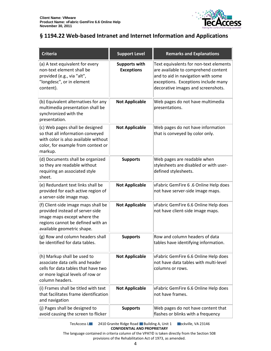

#### <span id="page-3-0"></span>**§ 1194.22 Web-based Intranet and Internet Information and Applications**

| <b>Criteria</b>                                                                                                                                                          | <b>Support Level</b>                      | <b>Remarks and Explanations</b>                                                                                                                                                                  |
|--------------------------------------------------------------------------------------------------------------------------------------------------------------------------|-------------------------------------------|--------------------------------------------------------------------------------------------------------------------------------------------------------------------------------------------------|
| (a) A text equivalent for every<br>non-text element shall be<br>provided (e.g., via "alt",<br>"longdesc", or in element<br>content).                                     | <b>Supports with</b><br><b>Exceptions</b> | Text equivalents for non-text elements<br>are available to comprehend content<br>and to aid in navigation with some<br>exceptions. Exceptions include many<br>decorative images and screenshots. |
| (b) Equivalent alternatives for any<br>multimedia presentation shall be<br>synchronized with the<br>presentation.                                                        | <b>Not Applicable</b>                     | Web pages do not have multimedia<br>presentations.                                                                                                                                               |
| (c) Web pages shall be designed<br>so that all information conveyed<br>with color is also available without<br>color, for example from context or<br>markup.             | <b>Not Applicable</b>                     | Web pages do not have information<br>that is conveyed by color only.                                                                                                                             |
| (d) Documents shall be organized<br>so they are readable without<br>requiring an associated style<br>sheet.                                                              | <b>Supports</b>                           | Web pages are readable when<br>stylesheets are disabled or with user-<br>defined stylesheets.                                                                                                    |
| (e) Redundant text links shall be<br>provided for each active region of<br>a server-side image map.                                                                      | <b>Not Applicable</b>                     | vFabric GemFire 6.6 Online Help does<br>not have server-side image maps.                                                                                                                         |
| (f) Client-side image maps shall be<br>provided instead of server-side<br>image maps except where the<br>regions cannot be defined with an<br>available geometric shape. | <b>Not Applicable</b>                     | vFabric GemFire 6.6 Online Help does<br>not have client-side image maps.                                                                                                                         |
| (g) Row and column headers shall<br>be identified for data tables.                                                                                                       | <b>Supports</b>                           | Row and column headers of data<br>tables have identifying information.                                                                                                                           |
| (h) Markup shall be used to<br>associate data cells and header<br>cells for data tables that have two<br>or more logical levels of row or<br>column headers.             | <b>Not Applicable</b>                     | vFabric GemFire 6.6 Online Help does<br>not have data tables with multi-level<br>columns or rows.                                                                                                |
| (i) Frames shall be titled with text<br>that facilitates frame identification<br>and navigation                                                                          | <b>Not Applicable</b>                     | vFabric GemFire 6.6 Online Help does<br>not have frames.                                                                                                                                         |
| (j) Pages shall be designed to<br>avoid causing the screen to flicker                                                                                                    | <b>Supports</b>                           | Web pages do not have content that<br>flashes or blinks with a frequency                                                                                                                         |

TecAccess L**LC** 2410 Granite Ridge Road Building A, Unit 1 **Rockville, VA 23146 CONFIDENTIAL AND PROPRIETARY**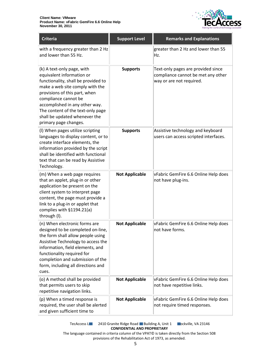

| <b>Criteria</b>                                                                                                                                                                                                                                                                                                             | <b>Support Level</b>  | <b>Remarks and Explanations</b>                                                                      |
|-----------------------------------------------------------------------------------------------------------------------------------------------------------------------------------------------------------------------------------------------------------------------------------------------------------------------------|-----------------------|------------------------------------------------------------------------------------------------------|
| with a frequency greater than 2 Hz<br>and lower than 55 Hz.                                                                                                                                                                                                                                                                 |                       | greater than 2 Hz and lower than 55<br>Hz.                                                           |
| (k) A text-only page, with<br>equivalent information or<br>functionality, shall be provided to<br>make a web site comply with the<br>provisions of this part, when<br>compliance cannot be<br>accomplished in any other way.<br>The content of the text-only page<br>shall be updated whenever the<br>primary page changes. | <b>Supports</b>       | Text-only pages are provided since<br>compliance cannot be met any other<br>way or are not required. |
| (I) When pages utilize scripting<br>languages to display content, or to<br>create interface elements, the<br>information provided by the script<br>shall be identified with functional<br>text that can be read by Assistive<br>Technology.                                                                                 | <b>Supports</b>       | Assistive technology and keyboard<br>users can access scripted interfaces.                           |
| (m) When a web page requires<br>that an applet, plug-in or other<br>application be present on the<br>client system to interpret page<br>content, the page must provide a<br>link to a plug-in or applet that<br>complies with §1194.21(a)<br>through (I).                                                                   | <b>Not Applicable</b> | vFabric GemFire 6.6 Online Help does<br>not have plug-ins.                                           |
| (n) When electronic forms are<br>designed to be completed on-line,<br>the form shall allow people using<br>Assistive Technology to access the<br>information, field elements, and<br>functionality required for<br>completion and submission of the<br>form, including all directions and<br>cues.                          | <b>Not Applicable</b> | vFabric GemFire 6.6 Online Help does<br>not have forms.                                              |
| (o) A method shall be provided<br>that permits users to skip<br>repetitive navigation links.                                                                                                                                                                                                                                | <b>Not Applicable</b> | vFabric GemFire 6.6 Online Help does<br>not have repetitive links.                                   |
| (p) When a timed response is<br>required, the user shall be alerted<br>and given sufficient time to                                                                                                                                                                                                                         | <b>Not Applicable</b> | vFabric GemFire 6.6 Online Help does<br>not require timed responses.                                 |

TecAccess L**LC** 2410 Granite Ridge Road Building A, Unit 1 **Rockville, VA 23146 CONFIDENTIAL AND PROPRIETARY**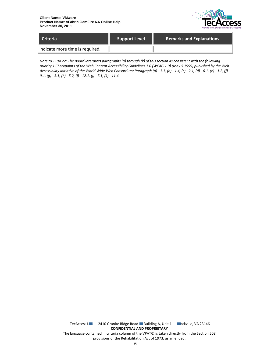

| Criteria                        | <b>Support Level</b> | <b>Remarks and Explanations</b> |
|---------------------------------|----------------------|---------------------------------|
| indicate more time is required. |                      |                                 |

*Note to 1194.22: The Board interprets paragraphs (a) through (k) of this section as consistent with the following priority 1 Checkpoints of the Web Content Accessibility Guidelines 1.0 (WCAG 1.0) (May 5 1999) published by the Web Accessibility Initiative of the World Wide Web Consortium: Paragraph (a) - 1.1, (b) - 1.4, (c) - 2.1, (d) - 6.1, (e) - 1.2, (f) - 9.1, (g) - 5.1, (h) - 5.2, (i) - 12.1, (j) - 7.1, (k) - 11.4.*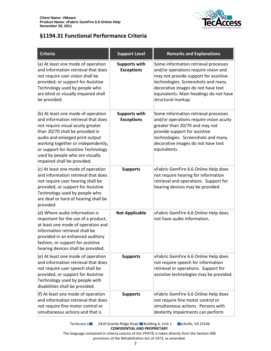

### <span id="page-6-0"></span>**§1194.31 Functional Performance Criteria**

| <b>Criteria</b>                                                                                                                                                                                                                                                                                                                     | <b>Support Level</b>                      | <b>Remarks and Explanations</b>                                                                                                                                                                                                                                   |
|-------------------------------------------------------------------------------------------------------------------------------------------------------------------------------------------------------------------------------------------------------------------------------------------------------------------------------------|-------------------------------------------|-------------------------------------------------------------------------------------------------------------------------------------------------------------------------------------------------------------------------------------------------------------------|
| (a) At least one mode of operation<br>and information retrieval that does<br>not require user vision shall be<br>provided, or support for Assistive<br>Technology used by people who<br>are blind or visually impaired shall<br>be provided.                                                                                        | <b>Supports with</b><br><b>Exceptions</b> | Some information retrieval processes<br>and/or operations require vision and<br>may not provide support for assistive<br>technologies. Screenshots and many<br>decorative images do not have text<br>equivalents. Main headings do not have<br>structural markup. |
| (b) At least one mode of operation<br>and information retrieval that does<br>not require visual acuity greater<br>than 20/70 shall be provided in<br>audio and enlarged print output<br>working together or independently,<br>or support for Assistive Technology<br>used by people who are visually<br>impaired shall be provided. | <b>Supports with</b><br><b>Exceptions</b> | Some information retrieval processes<br>and/or operations require vision acuity<br>greater than 20/70 and may not<br>provide support for assistive<br>technologies. Screenshots and many<br>decorative images do not have text<br>equivalents.                    |
| (c) At least one mode of operation<br>and information retrieval that does<br>not require user hearing shall be<br>provided, or support for Assistive<br>Technology used by people who<br>are deaf or hard of hearing shall be<br>provided                                                                                           | <b>Supports</b>                           | vFabric GemFire 6.6 Online Help does<br>not require hearing for information<br>retrieval and operations. Support for<br>hearing devices may be provided.                                                                                                          |
| (d) Where audio information is<br>important for the use of a product,<br>at least one mode of operation and<br>information retrieval shall be<br>provided in an enhanced auditory<br>fashion, or support for assistive<br>hearing devices shall be provided.                                                                        | <b>Not Applicable</b>                     | vFabric GemFire 6.6 Online Help does<br>not have audio information.                                                                                                                                                                                               |
| (e) At least one mode of operation<br>and information retrieval that does<br>not require user speech shall be<br>provided, or support for Assistive<br>Technology used by people with<br>disabilities shall be provided.                                                                                                            | <b>Supports</b>                           | vFabric GemFire 6.6 Online Help does<br>not require speech for information<br>retrieval or operations. Support for<br>assistive technologies may be provided.                                                                                                     |
| (f) At least one mode of operation<br>and information retrieval that does<br>not require fine motor control or<br>simultaneous actions and that is                                                                                                                                                                                  | <b>Supports</b>                           | vFabric GemFire 6.6 Online Help does<br>not require fine motor control or<br>simultaneous actions. Persons with<br>dexterity impairments can perform                                                                                                              |

TecAccess L**LC** 2410 Granite Ridge Road Building A, Unit 1 **Rockville, VA 23146 CONFIDENTIAL AND PROPRIETARY**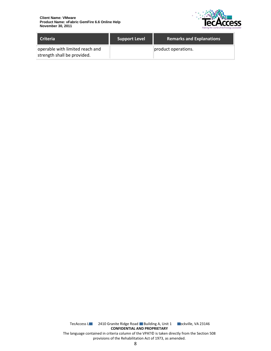

| <b>Criteria</b>                                                | <b>Support Level</b> | <b>Remarks and Explanations</b> |
|----------------------------------------------------------------|----------------------|---------------------------------|
| operable with limited reach and<br>strength shall be provided. |                      | product operations.             |